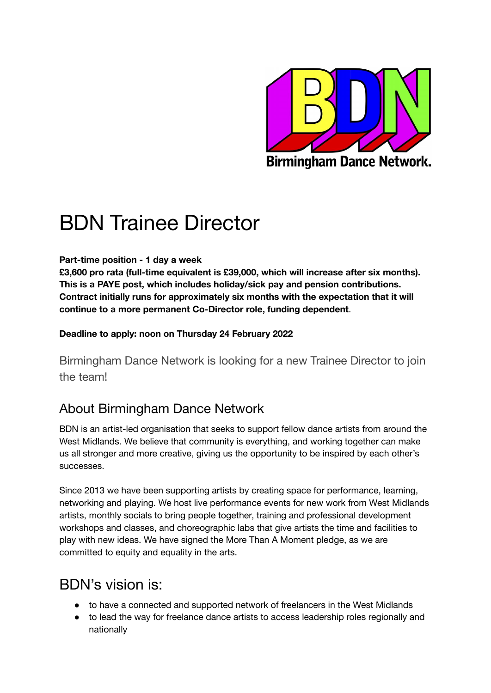

# BDN Trainee Director

#### **Part-time position - 1 day a week**

**£3,600 pro rata (full-time equivalent is £39,000, which will increase after six months). This is a PAYE post, which includes holiday/sick pay and pension contributions. Contract initially runs for approximately six months with the expectation that it will continue to a more permanent Co-Director role, funding dependent**.

#### **Deadline to apply: noon on Thursday 24 February 2022**

Birmingham Dance Network is looking for a new Trainee Director to join the team!

## About Birmingham Dance Network

BDN is an artist-led organisation that seeks to support fellow dance artists from around the West Midlands. We believe that community is everything, and working together can make us all stronger and more creative, giving us the opportunity to be inspired by each other's successes.

Since 2013 we have been supporting artists by creating space for performance, learning, networking and playing. We host live performance events for new work from West Midlands artists, monthly socials to bring people together, training and professional development workshops and classes, and choreographic labs that give artists the time and facilities to play with new ideas. We have signed the More Than A Moment pledge, as we are committed to equity and equality in the arts.

# BDN's vision is:

- to have a connected and supported network of freelancers in the West Midlands
- to lead the way for freelance dance artists to access leadership roles regionally and nationally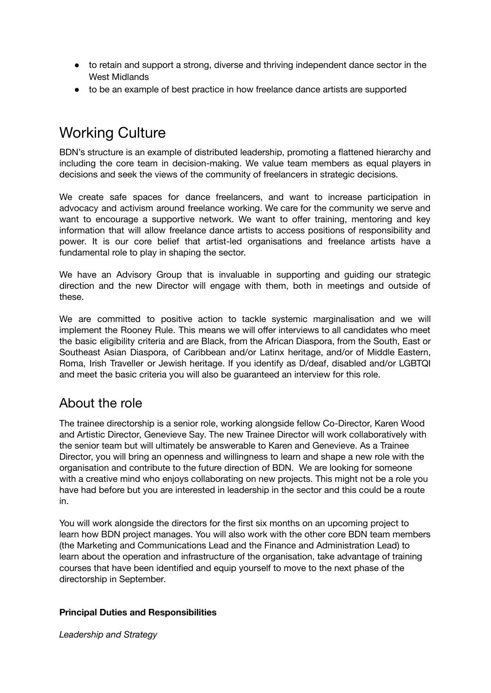- to retain and support a strong, diverse and thriving independent dance sector in the West Midlands
- to be an example of best practice in how freelance dance artists are supported

# Working Culture

BDN's structure is an example of distributed leadership, promoting a flattened hierarchy and including the core team in decision-making. We value team members as equal players in decisions and seek the views of the community of freelancers in strategic decisions.

We create safe spaces for dance freelancers, and want to increase participation in advocacy and activism around freelance working. We care for the community we serve and want to encourage a supportive network. We want to offer training, mentoring and key information that will allow freelance dance artists to access positions of responsibility and power. It is our core belief that artist-led organisations and freelance artists have a fundamental role to play in shaping the sector.

We have an Advisory Group that is invaluable in supporting and guiding our strategic direction and the new Director will engage with them, both in meetings and outside of these.

We are committed to positive action to tackle systemic marginalisation and we will implement the Rooney Rule. This means we will offer interviews to all candidates who meet the basic eligibility criteria and are Black, from the African Diaspora, from the South, East or Southeast Asian Diaspora, of Caribbean and/or Latinx heritage, and/or of Middle Eastern, Roma, Irish Traveller or Jewish heritage. If you identify as D/deaf, disabled and/or LGBTQI and meet the basic criteria you will also be guaranteed an interview for this role.

### About the role

The trainee directorship is a senior role, working alongside fellow Co-Director, Karen Wood and Artistic Director, Genevieve Say. The new Trainee Director will work collaboratively with the senior team but will ultimately be answerable to Karen and Genevieve. As a Trainee Director, you will bring an openness and willingness to learn and shape a new role with the organisation and contribute to the future direction of BDN. We are looking for someone with a creative mind who enjoys collaborating on new projects. This might not be a role you have had before but you are interested in leadership in the sector and this could be a route in.

You will work alongside the directors for the first six months on an upcoming project to learn how BDN project manages. You will also work with the other core BDN team members (the Marketing and Communications Lead and the Finance and Administration Lead) to learn about the operation and infrastructure of the organisation, take advantage of training courses that have been identified and equip yourself to move to the next phase of the directorship in September.

#### **Principal Duties and Responsibilities**

*Leadership and Strategy*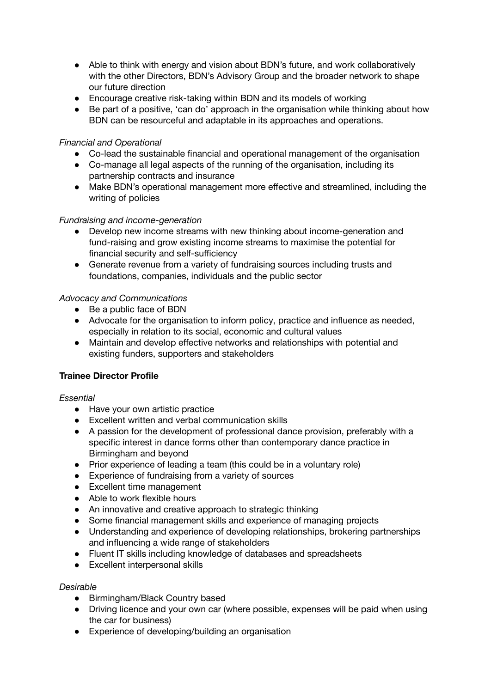- Able to think with energy and vision about BDN's future, and work collaboratively with the other Directors, BDN's Advisory Group and the broader network to shape our future direction
- Encourage creative risk-taking within BDN and its models of working
- Be part of a positive, 'can do' approach in the organisation while thinking about how BDN can be resourceful and adaptable in its approaches and operations.

#### *Financial and Operational*

- Co-lead the sustainable financial and operational management of the organisation
- Co-manage all legal aspects of the running of the organisation, including its partnership contracts and insurance
- Make BDN's operational management more effective and streamlined, including the writing of policies

#### *Fundraising and income-generation*

- Develop new income streams with new thinking about income-generation and fund-raising and grow existing income streams to maximise the potential for financial security and self-sufficiency
- Generate revenue from a variety of fundraising sources including trusts and foundations, companies, individuals and the public sector

#### *Advocacy and Communications*

- Be a public face of BDN
- Advocate for the organisation to inform policy, practice and influence as needed, especially in relation to its social, economic and cultural values
- Maintain and develop effective networks and relationships with potential and existing funders, supporters and stakeholders

#### **Trainee Director Profile**

#### *Essential*

- Have your own artistic practice
- Excellent written and verbal communication skills
- A passion for the development of professional dance provision, preferably with a specific interest in dance forms other than contemporary dance practice in Birmingham and beyond
- Prior experience of leading a team (this could be in a voluntary role)
- Experience of fundraising from a variety of sources
- Excellent time management
- Able to work flexible hours
- An innovative and creative approach to strategic thinking
- Some financial management skills and experience of managing projects
- Understanding and experience of developing relationships, brokering partnerships and influencing a wide range of stakeholders
- Fluent IT skills including knowledge of databases and spreadsheets
- Excellent interpersonal skills

#### *Desirable*

- Birmingham/Black Country based
- Driving licence and your own car (where possible, expenses will be paid when using the car for business)
- Experience of developing/building an organisation